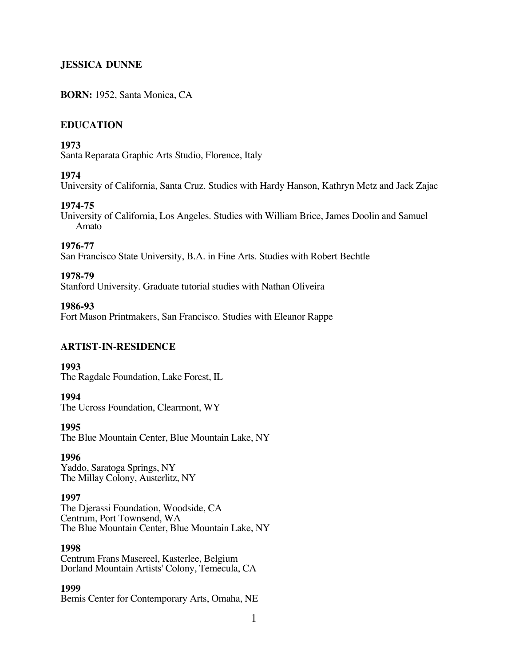## **JESSICA DUNNE**

## **BORN:** 1952, Santa Monica, CA

## **EDUCATION**

#### **1973**

Santa Reparata Graphic Arts Studio, Florence, Italy

#### **1974**

University of California, Santa Cruz. Studies with Hardy Hanson, Kathryn Metz and Jack Zajac

## **1974-75**

University of California, Los Angeles. Studies with William Brice, James Doolin and Samuel Amato

# **1976-77**

San Francisco State University, B.A. in Fine Arts. Studies with Robert Bechtle

## **1978-79**

Stanford University. Graduate tutorial studies with Nathan Oliveira

#### **1986-93**

Fort Mason Printmakers, San Francisco. Studies with Eleanor Rappe

#### **ARTIST-IN-RESIDENCE**

#### **1993** The Ragdale Foundation, Lake Forest, IL

# **1994**

The Ucross Foundation, Clearmont, WY

#### **1995**

The Blue Mountain Center, Blue Mountain Lake, NY

#### **1996**

Yaddo, Saratoga Springs, NY The Millay Colony, Austerlitz, NY

#### **1997**

The Djerassi Foundation, Woodside, CA Centrum, Port Townsend, WA The Blue Mountain Center, Blue Mountain Lake, NY

#### **1998**

Centrum Frans Masereel, Kasterlee, Belgium Dorland Mountain Artists' Colony, Temecula, CA

## **1999**

Bemis Center for Contemporary Arts, Omaha, NE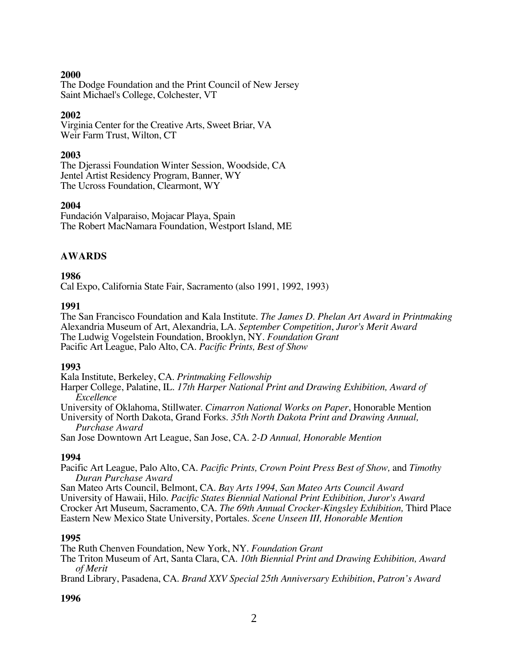## **2000**

The Dodge Foundation and the Print Council of New Jersey Saint Michael's College, Colchester, VT

## **2002**

Virginia Center for the Creative Arts, Sweet Briar, VA Weir Farm Trust, Wilton, CT

#### **2003**

The Djerassi Foundation Winter Session, Woodside, CA Jentel Artist Residency Program, Banner, WY The Ucross Foundation, Clearmont, WY

## **2004**

Fundación Valparaiso, Mojacar Playa, Spain The Robert MacNamara Foundation, Westport Island, ME

## **AWARDS**

## **1986**

Cal Expo, California State Fair, Sacramento (also 1991, 1992, 1993)

## **1991**

The San Francisco Foundation and Kala Institute. *The James D. Phelan Art Award in Printmaking* Alexandria Museum of Art, Alexandria, LA. *September Competition*, *Juror's Merit Award* The Ludwig Vogelstein Foundation, Brooklyn, NY. *Foundation Grant* Pacific Art League, Palo Alto, CA. *Pacific Prints, Best of Show*

#### **1993**

Kala Institute, Berkeley, CA. *Printmaking Fellowship*

Harper College, Palatine, IL. *17th Harper National Print and Drawing Exhibition, Award of Excellence*

University of Oklahoma, Stillwater. *Cimarron National Works on Paper*, Honorable Mention

University of North Dakota, Grand Forks. *35th North Dakota Print and Drawing Annual, Purchase Award*

San Jose Downtown Art League, San Jose, CA. *2-D Annual, Honorable Mention*

## **1994**

Pacific Art League, Palo Alto, CA. *Pacific Prints, Crown Point Press Best of Show,* and *Timothy Duran Purchase Award*

San Mateo Arts Council, Belmont, CA*. Bay Arts 1994*, *San Mateo Arts Council Award* University of Hawaii, Hilo. *Pacific States Biennial National Print Exhibition, Juror's Award* Crocker Art Museum, Sacramento, CA. *The 69th Annual Crocker-Kingsley Exhibition,* Third Place Eastern New Mexico State University, Portales. *Scene Unseen III, Honorable Mention*

#### **1995**

The Ruth Chenven Foundation, New York, NY. *Foundation Grant*

The Triton Museum of Art, Santa Clara, CA. *10th Biennial Print and Drawing Exhibition, Award of Merit*

Brand Library, Pasadena, CA. *Brand XXV Special 25th Anniversary Exhibition*, *Patron's Award*

#### **1996**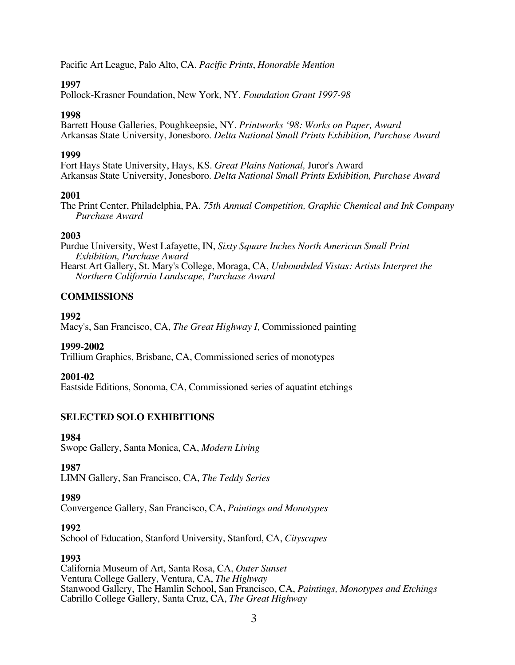Pacific Art League, Palo Alto, CA. *Pacific Prints*, *Honorable Mention*

## **1997**

Pollock-Krasner Foundation, New York, NY. *Foundation Grant 1997-98*

## **1998**

Barrett House Galleries, Poughkeepsie, NY. *Printworks '98: Works on Paper, Award* Arkansas State University, Jonesboro. *Delta National Small Prints Exhibition, Purchase Award*

## **1999**

Fort Hays State University, Hays, KS. *Great Plains National,* Juror's Award Arkansas State University, Jonesboro. *Delta National Small Prints Exhibition, Purchase Award*

## **2001**

The Print Center, Philadelphia, PA. *75th Annual Competition, Graphic Chemical and Ink Company Purchase Award*

## **2003**

Purdue University, West Lafayette, IN, *Sixty Square Inches North American Small Print Exhibition, Purchase Award* Hearst Art Gallery, St. Mary's College, Moraga, CA, *Unbounbded Vistas: Artists Interpret the Northern California Landscape, Purchase Award*

## **COMMISSIONS**

## **1992**

Macy's, San Francisco, CA, *The Great Highway I,* Commissioned painting

## **1999-2002**

Trillium Graphics, Brisbane, CA, Commissioned series of monotypes

## **2001-02**

Eastside Editions, Sonoma, CA, Commissioned series of aquatint etchings

## **SELECTED SOLO EXHIBITIONS**

#### **1984**

Swope Gallery, Santa Monica, CA, *Modern Living*

## **1987**

LIMN Gallery, San Francisco, CA, *The Teddy Series*

## **1989**

Convergence Gallery, San Francisco, CA, *Paintings and Monotypes*

## **1992**

School of Education, Stanford University, Stanford, CA, *Cityscapes*

## **1993**

California Museum of Art, Santa Rosa, CA, *Outer Sunset* Ventura College Gallery, Ventura, CA, *The Highway* Stanwood Gallery, The Hamlin School, San Francisco, CA, *Paintings, Monotypes and Etchings* Cabrillo College Gallery, Santa Cruz, CA, *The Great Highway*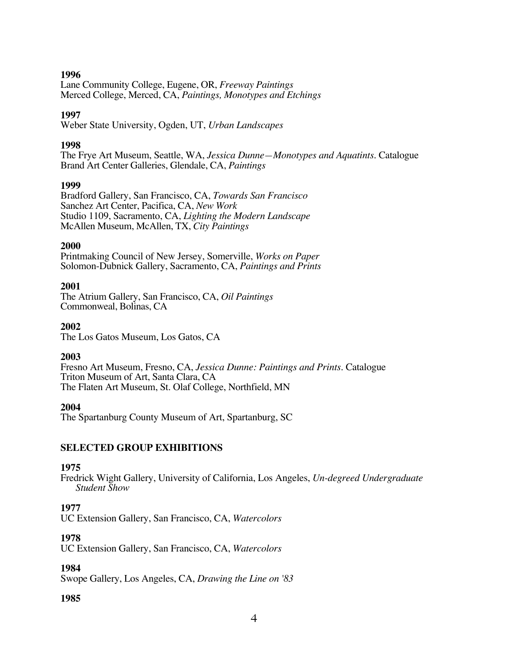## **1996**

Lane Community College, Eugene, OR, *Freeway Paintings* Merced College, Merced, CA, *Paintings, Monotypes and Etchings*

#### **1997**

Weber State University, Ogden, UT, *Urban Landscapes*

#### **1998**

The Frye Art Museum, Seattle, WA, *Jessica Dunne—Monotypes and Aquatints.* Catalogue Brand Art Center Galleries, Glendale, CA, *Paintings*

#### **1999**

Bradford Gallery, San Francisco, CA, *Towards San Francisco* Sanchez Art Center, Pacifica, CA, *New Work* Studio 1109, Sacramento, CA, *Lighting the Modern Landscape* McAllen Museum, McAllen, TX, *City Paintings*

#### **2000**

Printmaking Council of New Jersey, Somerville, *Works on Paper* Solomon-Dubnick Gallery, Sacramento, CA, *Paintings and Prints*

#### **2001**

The Atrium Gallery, San Francisco, CA, *Oil Paintings* Commonweal, Bolinas, CA

#### **2002**

The Los Gatos Museum, Los Gatos, CA

#### **2003**

Fresno Art Museum, Fresno, CA, *Jessica Dunne: Paintings and Prints*. Catalogue Triton Museum of Art, Santa Clara, CA The Flaten Art Museum, St. Olaf College, Northfield, MN

#### **2004**

The Spartanburg County Museum of Art, Spartanburg, SC

#### **SELECTED GROUP EXHIBITIONS**

#### **1975**

Fredrick Wight Gallery, University of California, Los Angeles, *Un-degreed Undergraduate Student Show*

#### **1977**

UC Extension Gallery, San Francisco, CA, *Watercolors*

#### **1978**

UC Extension Gallery, San Francisco, CA, *Watercolors*

#### **1984**

Swope Gallery, Los Angeles, CA, *Drawing the Line on '83*

#### **1985**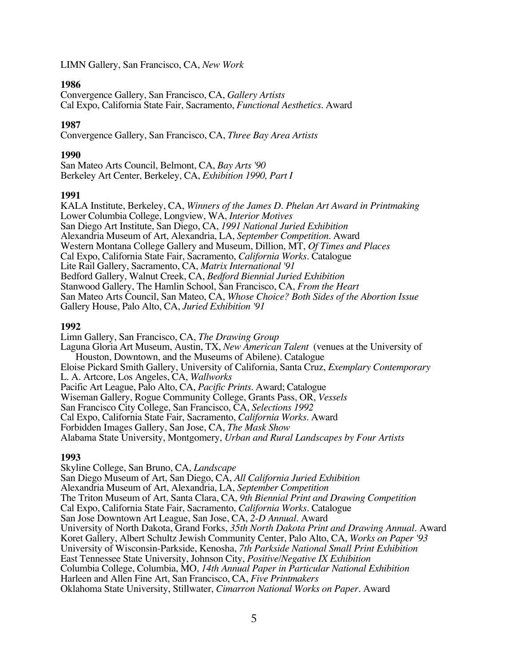LIMN Gallery, San Francisco, CA, *New Work*

## **1986**

Convergence Gallery, San Francisco, CA, *Gallery Artists* Cal Expo, California State Fair, Sacramento, *Functional Aesthetics*. Award

## **1987**

Convergence Gallery, San Francisco, CA, *Three Bay Area Artists*

## **1990**

San Mateo Arts Council, Belmont, CA, *Bay Arts '90* Berkeley Art Center, Berkeley, CA, *Exhibition 1990, Part I*

## **1991**

KALA Institute, Berkeley, CA, *Winners of the James D. Phelan Art Award in Printmaking* Lower Columbia College, Longview, WA, *Interior Motives* San Diego Art Institute, San Diego, CA, *1991 National Juried Exhibition* Alexandria Museum of Art, Alexandria, LA, *September Competition*. Award Western Montana College Gallery and Museum, Dillion, MT, *Of Times and Places* Cal Expo, California State Fair, Sacramento, *California Works*. Catalogue Lite Rail Gallery, Sacramento, CA, *Matrix International '91* Bedford Gallery, Walnut Creek, CA, *Bedford Biennial Juried Exhibition* Stanwood Gallery, The Hamlin School, San Francisco, CA, *From the Heart* San Mateo Arts Council, San Mateo, CA, *Whose Choice? Both Sides of the Abortion Issue* Gallery House, Palo Alto, CA, *Juried Exhibition '91*

## **1992**

Limn Gallery, San Francisco, CA, *The Drawing Group* Laguna Gloria Art Museum, Austin, TX, *New American Talent* (venues at the University of Houston, Downtown, and the Museums of Abilene). Catalogue Eloise Pickard Smith Gallery, University of California, Santa Cruz, *Exemplary Contemporary* L. A. Artcore, Los Angeles, CA, *Wallworks* Pacific Art League, Palo Alto, CA, *Pacific Prints*. Award; Catalogue Wiseman Gallery, Rogue Community College, Grants Pass, OR, *Vessels* San Francisco City College, San Francisco, CA, *Selections 1992* Cal Expo, California State Fair, Sacramento, *California Works*. Award Forbidden Images Gallery, San Jose, CA, *The Mask Show* Alabama State University, Montgomery, *Urban and Rural Landscapes by Four Artists*

## **1993**

Skyline College, San Bruno, CA, *Landscape* San Diego Museum of Art, San Diego, CA, *All California Juried Exhibition* Alexandria Museum of Art, Alexandria, LA, *September Competition* The Triton Museum of Art, Santa Clara, CA, *9th Biennial Print and Drawing Competition* Cal Expo, California State Fair, Sacramento, *California Works*. Catalogue San Jose Downtown Art League, San Jose, CA, *2-D Annual*. Award University of North Dakota, Grand Forks, *35th North Dakota Print and Drawing Annual*. Award Koret Gallery, Albert Schultz Jewish Community Center, Palo Alto, CA, *Works on Paper '93* University of Wisconsin-Parkside, Kenosha, *7th Parkside National Small Print Exhibition* East Tennessee State University, Johnson City, *Positive/Negative IX Exhibition* Columbia College, Columbia, MO, *14th Annual Paper in Particular National Exhibition* Harleen and Allen Fine Art, San Francisco, CA, *Five Printmakers* Oklahoma State University, Stillwater, *Cimarron National Works on Paper*. Award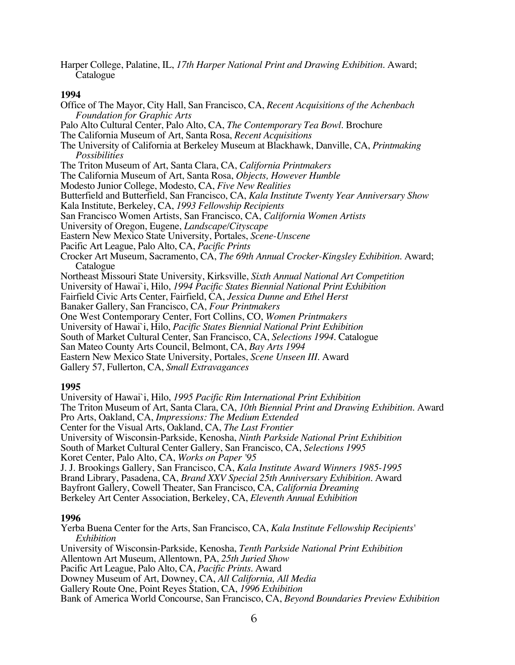Harper College, Palatine, IL, *17th Harper National Print and Drawing Exhibition*. Award; Catalogue

#### **1994**

Office of The Mayor, City Hall, San Francisco, CA, *Recent Acquisitions of the Achenbach Foundation for Graphic Arts* Palo Alto Cultural Center, Palo Alto, CA, *The Contemporary Tea Bowl*. Brochure The California Museum of Art, Santa Rosa, *Recent Acquisitions* The University of California at Berkeley Museum at Blackhawk, Danville, CA, *Printmaking Possibilities* The Triton Museum of Art, Santa Clara, CA, *California Printmakers* The California Museum of Art, Santa Rosa, *Objects, However Humble* Modesto Junior College, Modesto, CA, *Five New Realities* Butterfield and Butterfield, San Francisco, CA, *Kala Institute Twenty Year Anniversary Show* Kala Institute, Berkeley, CA, *1993 Fellowship Recipients* San Francisco Women Artists, San Francisco, CA, *California Women Artists* University of Oregon, Eugene, *Landscape/Cityscape* Eastern New Mexico State University, Portales, *Scene-Unscene* Pacific Art League, Palo Alto, CA, *Pacific Prints* Crocker Art Museum, Sacramento, CA, *The 69th Annual Crocker-Kingsley Exhibition*. Award; Catalogue Northeast Missouri State University, Kirksville, *Sixth Annual National Art Competition* University of Hawai`i, Hilo, *1994 Pacific States Biennial National Print Exhibition* Fairfield Civic Arts Center, Fairfield, CA, *Jessica Dunne and Ethel Herst* Banaker Gallery, San Francisco, CA, *Four Printmakers* One West Contemporary Center, Fort Collins, CO, *Women Printmakers* University of Hawai`i, Hilo, *Pacific States Biennial National Print Exhibition* South of Market Cultural Center, San Francisco, CA, *Selections 1994*. Catalogue San Mateo County Arts Council, Belmont, CA, *Bay Arts 1994* Eastern New Mexico State University, Portales, *Scene Unseen III*. Award Gallery 57, Fullerton, CA, *Small Extravagances*

## **1995**

University of Hawai`i, Hilo, *1995 Pacific Rim International Print Exhibition* The Triton Museum of Art, Santa Clara, CA, *10th Biennial Print and Drawing Exhibition*. Award Pro Arts, Oakland, CA, *Impressions: The Medium Extended* Center for the Visual Arts, Oakland, CA, *The Last Frontier* University of Wisconsin-Parkside, Kenosha, *Ninth Parkside National Print Exhibition* South of Market Cultural Center Gallery, San Francisco, CA, *Selections 1995* Koret Center, Palo Alto, CA, *Works on Paper '95* J. J. Brookings Gallery, San Francisco, CA, *Kala Institute Award Winners 1985-1995* Brand Library, Pasadena, CA, *Brand XXV Special 25th Anniversary Exhibition*. Award Bayfront Gallery, Cowell Theater, San Francisco, CA, *California Dreaming* Berkeley Art Center Association, Berkeley, CA, *Eleventh Annual Exhibition*

#### **1996**

Yerba Buena Center for the Arts, San Francisco, CA, *Kala Institute Fellowship Recipients' Exhibition* University of Wisconsin-Parkside, Kenosha, *Tenth Parkside National Print Exhibition* Allentown Art Museum, Allentown, PA, *25th Juried Show* Pacific Art League, Palo Alto, CA, *Pacific Prints*. Award Downey Museum of Art, Downey, CA, *All California, All Media* Gallery Route One, Point Reyes Station, CA, *1996 Exhibition* Bank of America World Concourse, San Francisco, CA, *Beyond Boundaries Preview Exhibition*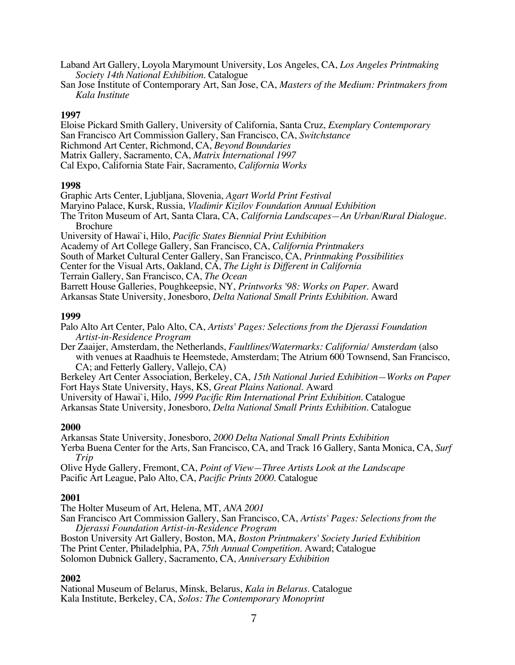Laband Art Gallery, Loyola Marymount University, Los Angeles, CA, *Los Angeles Printmaking Society 14th National Exhibition*. Catalogue

San Jose Institute of Contemporary Art, San Jose, CA, *Masters of the Medium: Printmakers from Kala Institute*

#### **1997**

Eloise Pickard Smith Gallery, University of California, Santa Cruz, *Exemplary Contemporary* San Francisco Art Commission Gallery, San Francisco, CA, *Switchstance* Richmond Art Center, Richmond, CA, *Beyond Boundaries* Matrix Gallery, Sacramento, CA, *Matrix International 1997* Cal Expo, California State Fair, Sacramento, *California Works*

#### **1998**

Graphic Arts Center, Ljubljana, Slovenia, *Agart World Print Festival*

Maryino Palace, Kursk, Russia, *Vladimir Kizilov Foundation Annual Exhibition*

The Triton Museum of Art, Santa Clara, CA, *California Landscapes—An Urban/Rural Dialogue.* Brochure

University of Hawai`i, Hilo, *Pacific States Biennial Print Exhibition*

- Academy of Art College Gallery, San Francisco, CA, *California Printmakers*
- South of Market Cultural Center Gallery, San Francisco, CA, *Printmaking Possibilities*

Center for the Visual Arts, Oakland, CA, *The Light is Different in California*

Terrain Gallery, San Francisco, CA, *The Ocean*

Barrett House Galleries, Poughkeepsie, NY, *Printworks '98: Works on Paper*. Award

Arkansas State University, Jonesboro, *Delta National Small Prints Exhibition*. Award

## **1999**

Palo Alto Art Center, Palo Alto, CA, *Artists' Pages: Selections from the Djerassi Foundation Artist-in-Residence Program*

Der Zaaijer, Amsterdam, the Netherlands, *Faultlines/Watermarks: California/ Amsterdam* (also with venues at Raadhuis te Heemstede, Amsterdam; The Atrium 600 Townsend, San Francisco, CA; and Fetterly Gallery, Vallejo, CA)

Berkeley Art Center Association, Berkeley, CA, *15th National Juried Exhibition—Works on Paper* Fort Hays State University, Hays, KS, *Great Plains National*. Award

University of Hawai`i, Hilo, *1999 Pacific Rim International Print Exhibition*. Catalogue

Arkansas State University, Jonesboro, *Delta National Small Prints Exhibition*. Catalogue

#### **2000**

Arkansas State University, Jonesboro, *2000 Delta National Small Prints Exhibition*

Yerba Buena Center for the Arts, San Francisco, CA, and Track 16 Gallery, Santa Monica, CA, *Surf Trip*

Olive Hyde Gallery, Fremont, CA, *Point of View—Three Artists Look at the Landscape* Pacific Art League, Palo Alto, CA, *Pacific Prints 2000*. Catalogue

## **2001**

The Holter Museum of Art, Helena, MT, *ANA 2001* San Francisco Art Commission Gallery, San Francisco, CA, *Artists' Pages: Selections from the Djerassi Foundation Artist-in-Residence Program* Boston University Art Gallery, Boston, MA, *Boston Printmakers' Society Juried Exhibition* The Print Center, Philadelphia, PA, *75th Annual Competition*. Award; Catalogue

Solomon Dubnick Gallery, Sacramento, CA, *Anniversary Exhibition*

## **2002**

National Museum of Belarus, Minsk, Belarus, *Kala in Belarus*. Catalogue Kala Institute, Berkeley, CA, *Solos: The Contemporary Monoprint*